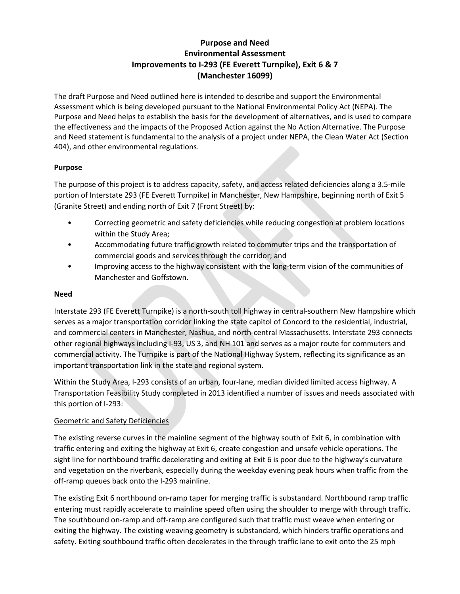# **Purpose and Need Environmental Assessment Improvements to I-293 (FE Everett Turnpike), Exit 6 & 7 (Manchester 16099)**

The draft Purpose and Need outlined here is intended to describe and support the Environmental Assessment which is being developed pursuant to the National Environmental Policy Act (NEPA). The Purpose and Need helps to establish the basis for the development of alternatives, and is used to compare the effectiveness and the impacts of the Proposed Action against the No Action Alternative. The Purpose and Need statement is fundamental to the analysis of a project under NEPA, the Clean Water Act (Section 404), and other environmental regulations.

# **Purpose**

The purpose of this project is to address capacity, safety, and access related deficiencies along a 3.5-mile portion of Interstate 293 (FE Everett Turnpike) in Manchester, New Hampshire, beginning north of Exit 5 (Granite Street) and ending north of Exit 7 (Front Street) by:

- Correcting geometric and safety deficiencies while reducing congestion at problem locations within the Study Area;
- Accommodating future traffic growth related to commuter trips and the transportation of commercial goods and services through the corridor; and
- Improving access to the highway consistent with the long-term vision of the communities of Manchester and Goffstown.

## **Need**

Interstate 293 (FE Everett Turnpike) is a north-south toll highway in central-southern New Hampshire which serves as a major transportation corridor linking the state capitol of Concord to the residential, industrial, and commercial centers in Manchester, Nashua, and north-central Massachusetts. Interstate 293 connects other regional highways including I-93, US 3, and NH 101 and serves as a major route for commuters and commercial activity. The Turnpike is part of the National Highway System, reflecting its significance as an important transportation link in the state and regional system.

Within the Study Area, I-293 consists of an urban, four-lane, median divided limited access highway. A Transportation Feasibility Study completed in 2013 identified a number of issues and needs associated with this portion of I-293:

# Geometric and Safety Deficiencies

The existing reverse curves in the mainline segment of the highway south of Exit 6, in combination with traffic entering and exiting the highway at Exit 6, create congestion and unsafe vehicle operations. The sight line for northbound traffic decelerating and exiting at Exit 6 is poor due to the highway's curvature and vegetation on the riverbank, especially during the weekday evening peak hours when traffic from the off-ramp queues back onto the I-293 mainline.

The existing Exit 6 northbound on-ramp taper for merging traffic is substandard. Northbound ramp traffic entering must rapidly accelerate to mainline speed often using the shoulder to merge with through traffic. The southbound on-ramp and off-ramp are configured such that traffic must weave when entering or exiting the highway. The existing weaving geometry is substandard, which hinders traffic operations and safety. Exiting southbound traffic often decelerates in the through traffic lane to exit onto the 25 mph